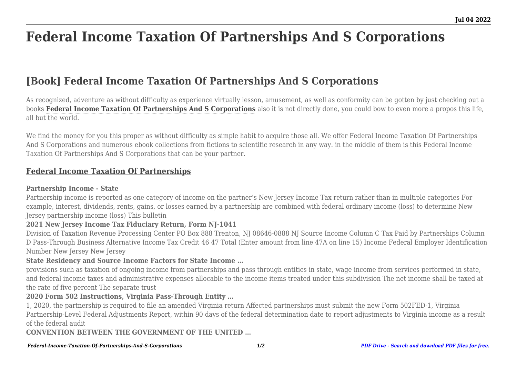# **Federal Income Taxation Of Partnerships And S Corporations**

# **[Book] Federal Income Taxation Of Partnerships And S Corporations**

As recognized, adventure as without difficulty as experience virtually lesson, amusement, as well as conformity can be gotten by just checking out a books **[Federal Income Taxation Of Partnerships And S Corporations](http://jessicaberan.com)** also it is not directly done, you could bow to even more a propos this life, all but the world.

We find the money for you this proper as without difficulty as simple habit to acquire those all. We offer Federal Income Taxation Of Partnerships And S Corporations and numerous ebook collections from fictions to scientific research in any way. in the middle of them is this Federal Income Taxation Of Partnerships And S Corporations that can be your partner.

# **[Federal Income Taxation Of Partnerships](http://jessicaberan.com/Federal-Income-Taxation-Of-Partnerships-And-S-Corporations.pdf)**

#### **Partnership Income - State**

Partnership income is reported as one category of income on the partner's New Jersey Income Tax return rather than in multiple categories For example, interest, dividends, rents, gains, or losses earned by a partnership are combined with federal ordinary income (loss) to determine New Jersey partnership income (loss) This bulletin

#### **2021 New Jersey Income Tax Fiduciary Return, Form NJ-1041**

Division of Taxation Revenue Processing Center PO Box 888 Trenton, NJ 08646-0888 NJ Source Income Column C Tax Paid by Partnerships Column D Pass-Through Business Alternative Income Tax Credit 46 47 Total (Enter amount from line 47A on line 15) Income Federal Employer Identification Number New Jersey New Jersey

#### **State Residency and Source Income Factors for State Income …**

provisions such as taxation of ongoing income from partnerships and pass through entities in state, wage income from services performed in state, and federal income taxes and administrative expenses allocable to the income items treated under this subdivision The net income shall be taxed at the rate of five percent The separate trust

#### **2020 Form 502 Instructions, Virginia Pass-Through Entity …**

1, 2020, the partnership is required to file an amended Virginia return Affected partnerships must submit the new Form 502FED-1, Virginia Partnership-Level Federal Adjustments Report, within 90 days of the federal determination date to report adjustments to Virginia income as a result of the federal audit

#### **CONVENTION BETWEEN THE GOVERNMENT OF THE UNITED …**